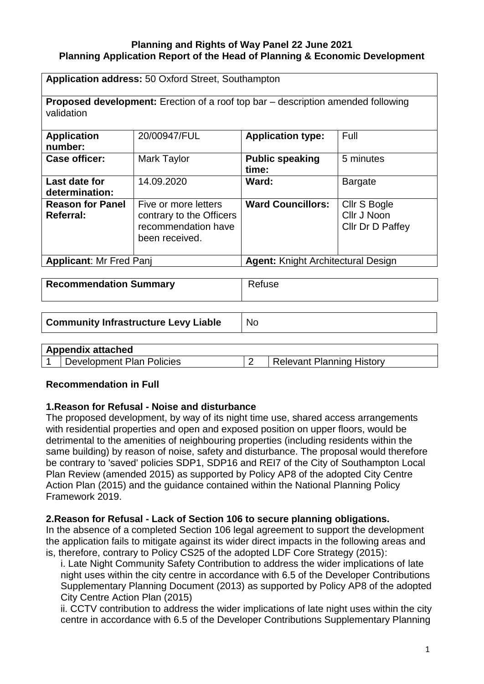# **Planning and Rights of Way Panel 22 June 2021 Planning Application Report of the Head of Planning & Economic Development**

**Application address:** 50 Oxford Street, Southampton

**Proposed development:** Erection of a roof top bar – description amended following validation

| <b>Application</b>             | 20/00947/FUL             | <b>Application type:</b>                  | Full             |
|--------------------------------|--------------------------|-------------------------------------------|------------------|
| number:                        |                          |                                           |                  |
| <b>Case officer:</b>           | <b>Mark Taylor</b>       | <b>Public speaking</b>                    | 5 minutes        |
|                                |                          | time:                                     |                  |
| Last date for                  | 14.09.2020               | Ward:                                     | <b>Bargate</b>   |
| determination:                 |                          |                                           |                  |
| <b>Reason for Panel</b>        | Five or more letters     | <b>Ward Councillors:</b>                  | Cllr S Bogle     |
| Referral:                      | contrary to the Officers |                                           | Cllr J Noon      |
|                                | recommendation have      |                                           | Cllr Dr D Paffey |
|                                | been received.           |                                           |                  |
|                                |                          |                                           |                  |
| <b>Applicant: Mr Fred Panj</b> |                          | <b>Agent: Knight Architectural Design</b> |                  |

| <b>Recommendation Summary</b> | Refuse |  |
|-------------------------------|--------|--|
|                               |        |  |

| <b>Community Infrastructure Levy Liable</b> | No |
|---------------------------------------------|----|
|                                             |    |

# **Appendix attached** Development Plan Policies 2 | Relevant Planning History

# **Recommendation in Full**

# **1.Reason for Refusal - Noise and disturbance**

The proposed development, by way of its night time use, shared access arrangements with residential properties and open and exposed position on upper floors, would be detrimental to the amenities of neighbouring properties (including residents within the same building) by reason of noise, safety and disturbance. The proposal would therefore be contrary to 'saved' policies SDP1, SDP16 and REI7 of the City of Southampton Local Plan Review (amended 2015) as supported by Policy AP8 of the adopted City Centre Action Plan (2015) and the guidance contained within the National Planning Policy Framework 2019.

# **2.Reason for Refusal - Lack of Section 106 to secure planning obligations.**

In the absence of a completed Section 106 legal agreement to support the development the application fails to mitigate against its wider direct impacts in the following areas and is, therefore, contrary to Policy CS25 of the adopted LDF Core Strategy (2015):

i. Late Night Community Safety Contribution to address the wider implications of late night uses within the city centre in accordance with 6.5 of the Developer Contributions Supplementary Planning Document (2013) as supported by Policy AP8 of the adopted City Centre Action Plan (2015)

ii. CCTV contribution to address the wider implications of late night uses within the city centre in accordance with 6.5 of the Developer Contributions Supplementary Planning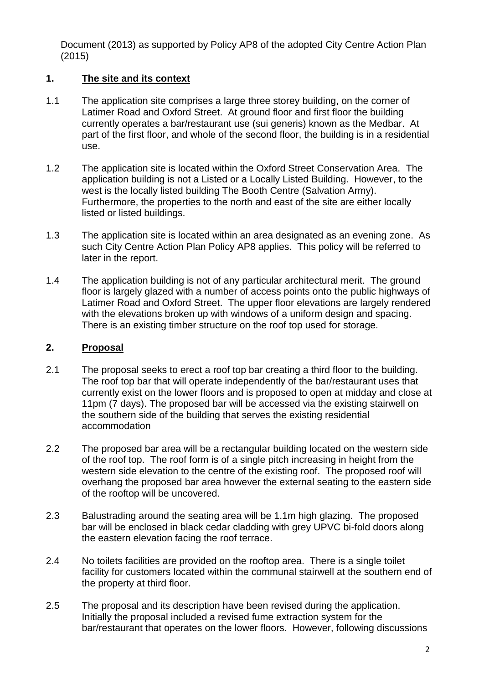Document (2013) as supported by Policy AP8 of the adopted City Centre Action Plan (2015)

# **1. The site and its context**

- 1.1 The application site comprises a large three storey building, on the corner of Latimer Road and Oxford Street. At ground floor and first floor the building currently operates a bar/restaurant use (sui generis) known as the Medbar. At part of the first floor, and whole of the second floor, the building is in a residential use.
- 1.2 The application site is located within the Oxford Street Conservation Area. The application building is not a Listed or a Locally Listed Building. However, to the west is the locally listed building The Booth Centre (Salvation Army). Furthermore, the properties to the north and east of the site are either locally listed or listed buildings.
- 1.3 The application site is located within an area designated as an evening zone. As such City Centre Action Plan Policy AP8 applies. This policy will be referred to later in the report.
- 1.4 The application building is not of any particular architectural merit. The ground floor is largely glazed with a number of access points onto the public highways of Latimer Road and Oxford Street. The upper floor elevations are largely rendered with the elevations broken up with windows of a uniform design and spacing. There is an existing timber structure on the roof top used for storage.

# **2. Proposal**

- 2.1 The proposal seeks to erect a roof top bar creating a third floor to the building. The roof top bar that will operate independently of the bar/restaurant uses that currently exist on the lower floors and is proposed to open at midday and close at 11pm (7 days). The proposed bar will be accessed via the existing stairwell on the southern side of the building that serves the existing residential accommodation
- 2.2 The proposed bar area will be a rectangular building located on the western side of the roof top. The roof form is of a single pitch increasing in height from the western side elevation to the centre of the existing roof. The proposed roof will overhang the proposed bar area however the external seating to the eastern side of the rooftop will be uncovered.
- 2.3 Balustrading around the seating area will be 1.1m high glazing. The proposed bar will be enclosed in black cedar cladding with grey UPVC bi-fold doors along the eastern elevation facing the roof terrace.
- 2.4 No toilets facilities are provided on the rooftop area. There is a single toilet facility for customers located within the communal stairwell at the southern end of the property at third floor.
- 2.5 The proposal and its description have been revised during the application. Initially the proposal included a revised fume extraction system for the bar/restaurant that operates on the lower floors. However, following discussions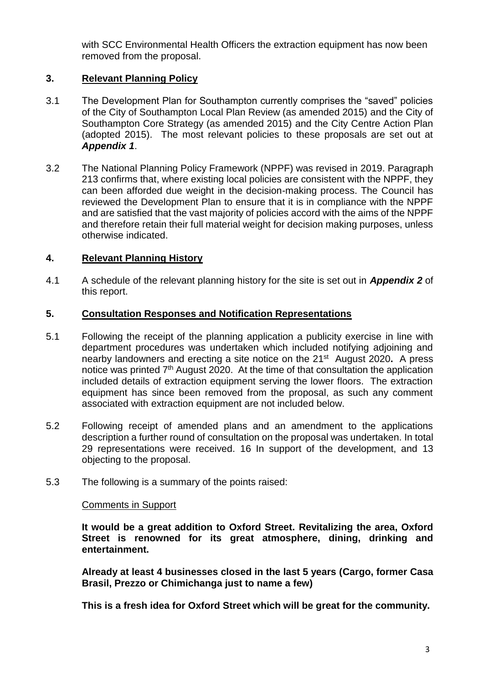with SCC Environmental Health Officers the extraction equipment has now been removed from the proposal.

# **3. Relevant Planning Policy**

- 3.1 The Development Plan for Southampton currently comprises the "saved" policies of the City of Southampton Local Plan Review (as amended 2015) and the City of Southampton Core Strategy (as amended 2015) and the City Centre Action Plan (adopted 2015). The most relevant policies to these proposals are set out at *Appendix 1*.
- 3.2 The National Planning Policy Framework (NPPF) was revised in 2019. Paragraph 213 confirms that, where existing local policies are consistent with the NPPF, they can been afforded due weight in the decision-making process. The Council has reviewed the Development Plan to ensure that it is in compliance with the NPPF and are satisfied that the vast majority of policies accord with the aims of the NPPF and therefore retain their full material weight for decision making purposes, unless otherwise indicated.

# **4. Relevant Planning History**

4.1 A schedule of the relevant planning history for the site is set out in *Appendix 2* of this report.

### **5. Consultation Responses and Notification Representations**

- 5.1 Following the receipt of the planning application a publicity exercise in line with department procedures was undertaken which included notifying adjoining and nearby landowners and erecting a site notice on the 21st August 2020**.** A press notice was printed  $7<sup>th</sup>$  August 2020. At the time of that consultation the application included details of extraction equipment serving the lower floors. The extraction equipment has since been removed from the proposal, as such any comment associated with extraction equipment are not included below.
- 5.2 Following receipt of amended plans and an amendment to the applications description a further round of consultation on the proposal was undertaken. In total 29 representations were received. 16 In support of the development, and 13 objecting to the proposal.
- 5.3 The following is a summary of the points raised:

### Comments in Support

**It would be a great addition to Oxford Street. Revitalizing the area, Oxford Street is renowned for its great atmosphere, dining, drinking and entertainment.**

**Already at least 4 businesses closed in the last 5 years (Cargo, former Casa Brasil, Prezzo or Chimichanga just to name a few)**

**This is a fresh idea for Oxford Street which will be great for the community.**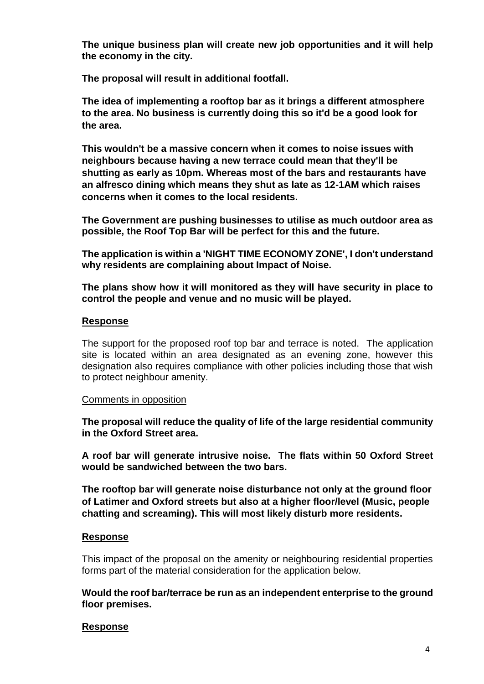**The unique business plan will create new job opportunities and it will help the economy in the city.**

**The proposal will result in additional footfall.**

**The idea of implementing a rooftop bar as it brings a different atmosphere to the area. No business is currently doing this so it'd be a good look for the area.**

**This wouldn't be a massive concern when it comes to noise issues with neighbours because having a new terrace could mean that they'll be shutting as early as 10pm. Whereas most of the bars and restaurants have an alfresco dining which means they shut as late as 12-1AM which raises concerns when it comes to the local residents.**

**The Government are pushing businesses to utilise as much outdoor area as possible, the Roof Top Bar will be perfect for this and the future.**

**The application is within a 'NIGHT TIME ECONOMY ZONE', I don't understand why residents are complaining about Impact of Noise.**

**The plans show how it will monitored as they will have security in place to control the people and venue and no music will be played.**

### **Response**

The support for the proposed roof top bar and terrace is noted. The application site is located within an area designated as an evening zone, however this designation also requires compliance with other policies including those that wish to protect neighbour amenity.

### Comments in opposition

**The proposal will reduce the quality of life of the large residential community in the Oxford Street area.**

**A roof bar will generate intrusive noise. The flats within 50 Oxford Street would be sandwiched between the two bars.**

**The rooftop bar will generate noise disturbance not only at the ground floor of Latimer and Oxford streets but also at a higher floor/level (Music, people chatting and screaming). This will most likely disturb more residents.**

### **Response**

This impact of the proposal on the amenity or neighbouring residential properties forms part of the material consideration for the application below.

**Would the roof bar/terrace be run as an independent enterprise to the ground floor premises.**

### **Response**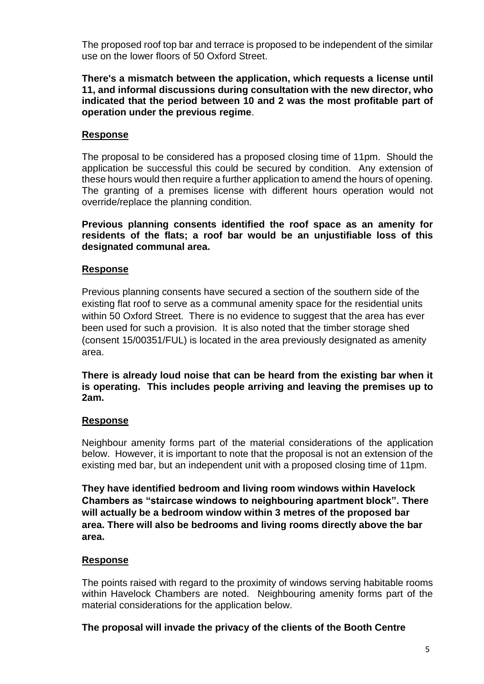The proposed roof top bar and terrace is proposed to be independent of the similar use on the lower floors of 50 Oxford Street.

### **There's a mismatch between the application, which requests a license until 11, and informal discussions during consultation with the new director, who indicated that the period between 10 and 2 was the most profitable part of operation under the previous regime**.

# **Response**

The proposal to be considered has a proposed closing time of 11pm. Should the application be successful this could be secured by condition. Any extension of these hours would then require a further application to amend the hours of opening. The granting of a premises license with different hours operation would not override/replace the planning condition.

**Previous planning consents identified the roof space as an amenity for residents of the flats; a roof bar would be an unjustifiable loss of this designated communal area.**

# **Response**

Previous planning consents have secured a section of the southern side of the existing flat roof to serve as a communal amenity space for the residential units within 50 Oxford Street. There is no evidence to suggest that the area has ever been used for such a provision. It is also noted that the timber storage shed (consent 15/00351/FUL) is located in the area previously designated as amenity area.

**There is already loud noise that can be heard from the existing bar when it is operating. This includes people arriving and leaving the premises up to 2am.**

### **Response**

Neighbour amenity forms part of the material considerations of the application below. However, it is important to note that the proposal is not an extension of the existing med bar, but an independent unit with a proposed closing time of 11pm.

**They have identified bedroom and living room windows within Havelock Chambers as "staircase windows to neighbouring apartment block". There will actually be a bedroom window within 3 metres of the proposed bar area. There will also be bedrooms and living rooms directly above the bar area.**

# **Response**

The points raised with regard to the proximity of windows serving habitable rooms within Havelock Chambers are noted. Neighbouring amenity forms part of the material considerations for the application below.

### **The proposal will invade the privacy of the clients of the Booth Centre**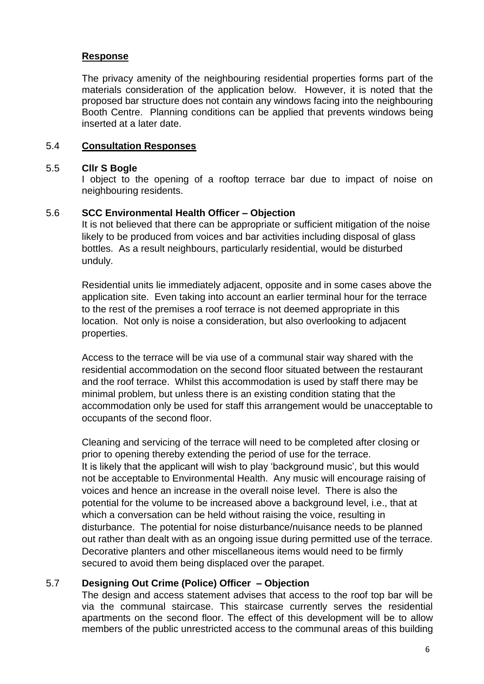# **Response**

The privacy amenity of the neighbouring residential properties forms part of the materials consideration of the application below. However, it is noted that the proposed bar structure does not contain any windows facing into the neighbouring Booth Centre. Planning conditions can be applied that prevents windows being inserted at a later date.

## 5.4 **Consultation Responses**

#### 5.5 **Cllr S Bogle**

I object to the opening of a rooftop terrace bar due to impact of noise on neighbouring residents.

#### 5.6 **SCC Environmental Health Officer – Objection**

It is not believed that there can be appropriate or sufficient mitigation of the noise likely to be produced from voices and bar activities including disposal of glass bottles. As a result neighbours, particularly residential, would be disturbed unduly.

Residential units lie immediately adjacent, opposite and in some cases above the application site. Even taking into account an earlier terminal hour for the terrace to the rest of the premises a roof terrace is not deemed appropriate in this location. Not only is noise a consideration, but also overlooking to adjacent properties.

Access to the terrace will be via use of a communal stair way shared with the residential accommodation on the second floor situated between the restaurant and the roof terrace. Whilst this accommodation is used by staff there may be minimal problem, but unless there is an existing condition stating that the accommodation only be used for staff this arrangement would be unacceptable to occupants of the second floor.

Cleaning and servicing of the terrace will need to be completed after closing or prior to opening thereby extending the period of use for the terrace. It is likely that the applicant will wish to play 'background music', but this would not be acceptable to Environmental Health. Any music will encourage raising of voices and hence an increase in the overall noise level. There is also the potential for the volume to be increased above a background level, i.e., that at which a conversation can be held without raising the voice, resulting in disturbance. The potential for noise disturbance/nuisance needs to be planned out rather than dealt with as an ongoing issue during permitted use of the terrace. Decorative planters and other miscellaneous items would need to be firmly secured to avoid them being displaced over the parapet.

### 5.7 **Designing Out Crime (Police) Officer – Objection**

The design and access statement advises that access to the roof top bar will be via the communal staircase. This staircase currently serves the residential apartments on the second floor. The effect of this development will be to allow members of the public unrestricted access to the communal areas of this building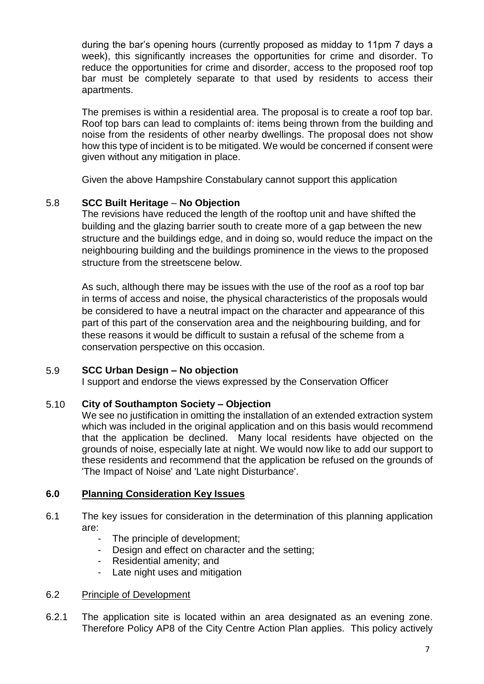during the bar's opening hours (currently proposed as midday to 11pm 7 days a week), this significantly increases the opportunities for crime and disorder. To reduce the opportunities for crime and disorder, access to the proposed roof top bar must be completely separate to that used by residents to access their apartments.

The premises is within a residential area. The proposal is to create a roof top bar. Roof top bars can lead to complaints of: items being thrown from the building and noise from the residents of other nearby dwellings. The proposal does not show how this type of incident is to be mitigated. We would be concerned if consent were given without any mitigation in place.

Given the above Hampshire Constabulary cannot support this application

#### 5.8 **SCC Built Heritage** – **No Objection**

The revisions have reduced the length of the rooftop unit and have shifted the building and the glazing barrier south to create more of a gap between the new structure and the buildings edge, and in doing so, would reduce the impact on the neighbouring building and the buildings prominence in the views to the proposed structure from the streetscene below.

As such, although there may be issues with the use of the roof as a roof top bar in terms of access and noise, the physical characteristics of the proposals would be considered to have a neutral impact on the character and appearance of this part of this part of the conservation area and the neighbouring building, and for these reasons it would be difficult to sustain a refusal of the scheme from a conservation perspective on this occasion.

#### 5.9 **SCC Urban Design – No objection**

I support and endorse the views expressed by the Conservation Officer

#### 5.10 **City of Southampton Society – Objection**

We see no justification in omitting the installation of an extended extraction system which was included in the original application and on this basis would recommend that the application be declined. Many local residents have objected on the grounds of noise, especially late at night. We would now like to add our support to these residents and recommend that the application be refused on the grounds of 'The Impact of Noise' and 'Late night Disturbance'.

### **6.0 Planning Consideration Key Issues**

- 6.1 The key issues for consideration in the determination of this planning application are:
	- The principle of development;
	- Design and effect on character and the setting;
	- Residential amenity; and
	- Late night uses and mitigation

### 6.2 Principle of Development

6.2.1 The application site is located within an area designated as an evening zone. Therefore Policy AP8 of the City Centre Action Plan applies. This policy actively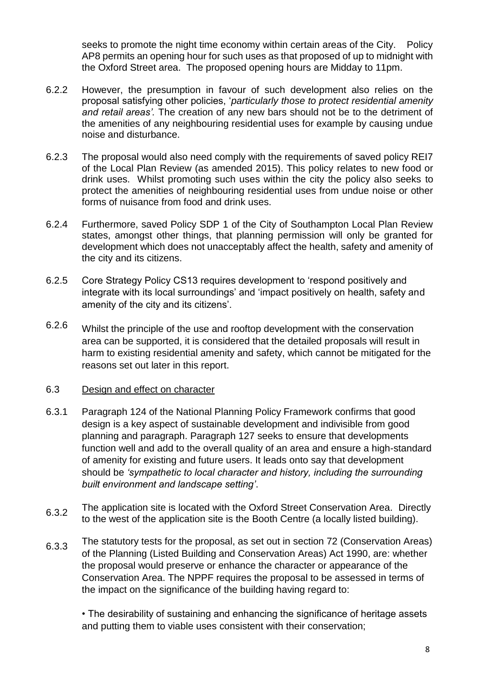seeks to promote the night time economy within certain areas of the City. Policy AP8 permits an opening hour for such uses as that proposed of up to midnight with the Oxford Street area. The proposed opening hours are Midday to 11pm.

- 6.2.2 However, the presumption in favour of such development also relies on the proposal satisfying other policies, '*particularly those to protect residential amenity and retail areas'.* The creation of any new bars should not be to the detriment of the amenities of any neighbouring residential uses for example by causing undue noise and disturbance.
- 6.2.3 The proposal would also need comply with the requirements of saved policy REI7 of the Local Plan Review (as amended 2015). This policy relates to new food or drink uses. Whilst promoting such uses within the city the policy also seeks to protect the amenities of neighbouring residential uses from undue noise or other forms of nuisance from food and drink uses.
- 6.2.4 Furthermore, saved Policy SDP 1 of the City of Southampton Local Plan Review states, amongst other things, that planning permission will only be granted for development which does not unacceptably affect the health, safety and amenity of the city and its citizens.
- 6.2.5 Core Strategy Policy CS13 requires development to 'respond positively and integrate with its local surroundings' and 'impact positively on health, safety and amenity of the city and its citizens'.
- 6.2.6 Whilst the principle of the use and rooftop development with the conservation area can be supported, it is considered that the detailed proposals will result in harm to existing residential amenity and safety, which cannot be mitigated for the reasons set out later in this report.

### 6.3 Design and effect on character

- 6.3.1 Paragraph 124 of the National Planning Policy Framework confirms that good design is a key aspect of sustainable development and indivisible from good planning and paragraph. Paragraph 127 seeks to ensure that developments function well and add to the overall quality of an area and ensure a high-standard of amenity for existing and future users. It leads onto say that development should be *'sympathetic to local character and history, including the surrounding built environment and landscape setting'*.
- 6.3.2 The application site is located with the Oxford Street Conservation Area. Directly to the west of the application site is the Booth Centre (a locally listed building).
- 6.3.3 The statutory tests for the proposal, as set out in section 72 (Conservation Areas) of the Planning (Listed Building and Conservation Areas) Act 1990, are: whether the proposal would preserve or enhance the character or appearance of the Conservation Area. The NPPF requires the proposal to be assessed in terms of the impact on the significance of the building having regard to:

• The desirability of sustaining and enhancing the significance of heritage assets and putting them to viable uses consistent with their conservation;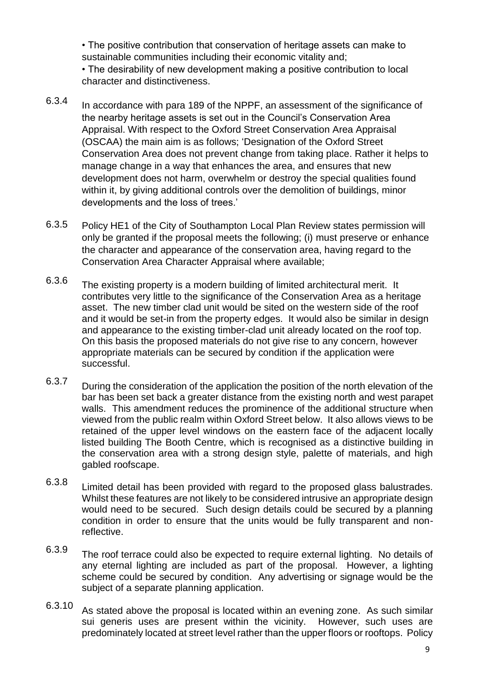• The positive contribution that conservation of heritage assets can make to sustainable communities including their economic vitality and; • The desirability of new development making a positive contribution to local

character and distinctiveness.

- 6.3.4 In accordance with para 189 of the NPPF, an assessment of the significance of the nearby heritage assets is set out in the Council's Conservation Area Appraisal. With respect to the Oxford Street Conservation Area Appraisal (OSCAA) the main aim is as follows; 'Designation of the Oxford Street Conservation Area does not prevent change from taking place. Rather it helps to manage change in a way that enhances the area, and ensures that new development does not harm, overwhelm or destroy the special qualities found within it, by giving additional controls over the demolition of buildings, minor developments and the loss of trees.'
- 6.3.5 Policy HE1 of the City of Southampton Local Plan Review states permission will only be granted if the proposal meets the following; (i) must preserve or enhance the character and appearance of the conservation area, having regard to the Conservation Area Character Appraisal where available;
- 6.3.6 The existing property is a modern building of limited architectural merit. It contributes very little to the significance of the Conservation Area as a heritage asset. The new timber clad unit would be sited on the western side of the roof and it would be set-in from the property edges. It would also be similar in design and appearance to the existing timber-clad unit already located on the roof top. On this basis the proposed materials do not give rise to any concern, however appropriate materials can be secured by condition if the application were successful.
- 6.3.7 During the consideration of the application the position of the north elevation of the bar has been set back a greater distance from the existing north and west parapet walls. This amendment reduces the prominence of the additional structure when viewed from the public realm within Oxford Street below. It also allows views to be retained of the upper level windows on the eastern face of the adjacent locally listed building The Booth Centre, which is recognised as a distinctive building in the conservation area with a strong design style, palette of materials, and high gabled roofscape.
- 6.3.8 Limited detail has been provided with regard to the proposed glass balustrades. Whilst these features are not likely to be considered intrusive an appropriate design would need to be secured. Such design details could be secured by a planning condition in order to ensure that the units would be fully transparent and nonreflective.
- 6.3.9 The roof terrace could also be expected to require external lighting. No details of any eternal lighting are included as part of the proposal. However, a lighting scheme could be secured by condition. Any advertising or signage would be the subject of a separate planning application.
- 6.3.10 As stated above the proposal is located within an evening zone. As such similar sui generis uses are present within the vicinity. However, such uses are predominately located at street level rather than the upper floors or rooftops. Policy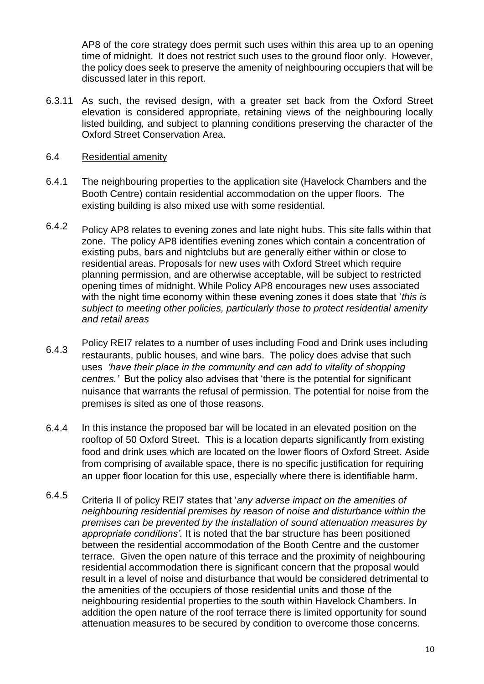AP8 of the core strategy does permit such uses within this area up to an opening time of midnight. It does not restrict such uses to the ground floor only. However, the policy does seek to preserve the amenity of neighbouring occupiers that will be discussed later in this report.

6.3.11 As such, the revised design, with a greater set back from the Oxford Street elevation is considered appropriate, retaining views of the neighbouring locally listed building, and subject to planning conditions preserving the character of the Oxford Street Conservation Area.

### 6.4 Residential amenity

- 6.4.1 The neighbouring properties to the application site (Havelock Chambers and the Booth Centre) contain residential accommodation on the upper floors. The existing building is also mixed use with some residential.
- 6.4.2 Policy AP8 relates to evening zones and late night hubs. This site falls within that zone. The policy AP8 identifies evening zones which contain a concentration of existing pubs, bars and nightclubs but are generally either within or close to residential areas. Proposals for new uses with Oxford Street which require planning permission, and are otherwise acceptable, will be subject to restricted opening times of midnight. While Policy AP8 encourages new uses associated with the night time economy within these evening zones it does state that '*this is subject to meeting other policies, particularly those to protect residential amenity and retail areas*
- 6.4.3 Policy REI7 relates to a number of uses including Food and Drink uses including restaurants, public houses, and wine bars. The policy does advise that such uses *'have their place in the community and can add to vitality of shopping centres.'* But the policy also advises that 'there is the potential for significant nuisance that warrants the refusal of permission. The potential for noise from the premises is sited as one of those reasons.
- 6.4.4 In this instance the proposed bar will be located in an elevated position on the rooftop of 50 Oxford Street. This is a location departs significantly from existing food and drink uses which are located on the lower floors of Oxford Street. Aside from comprising of available space, there is no specific justification for requiring an upper floor location for this use, especially where there is identifiable harm.
- 6.4.5 Criteria II of policy REI7 states that '*any adverse impact on the amenities of neighbouring residential premises by reason of noise and disturbance within the premises can be prevented by the installation of sound attenuation measures by appropriate conditions'.* It is noted that the bar structure has been positioned between the residential accommodation of the Booth Centre and the customer terrace. Given the open nature of this terrace and the proximity of neighbouring residential accommodation there is significant concern that the proposal would result in a level of noise and disturbance that would be considered detrimental to the amenities of the occupiers of those residential units and those of the neighbouring residential properties to the south within Havelock Chambers. In addition the open nature of the roof terrace there is limited opportunity for sound attenuation measures to be secured by condition to overcome those concerns.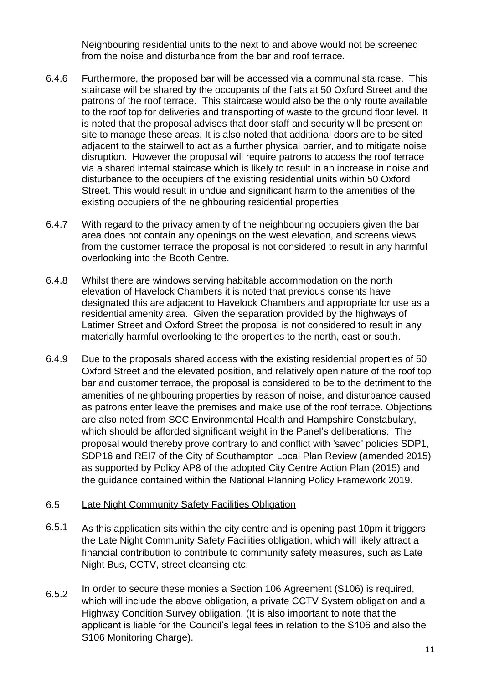Neighbouring residential units to the next to and above would not be screened from the noise and disturbance from the bar and roof terrace.

- 6.4.6 Furthermore, the proposed bar will be accessed via a communal staircase. This staircase will be shared by the occupants of the flats at 50 Oxford Street and the patrons of the roof terrace. This staircase would also be the only route available to the roof top for deliveries and transporting of waste to the ground floor level. It is noted that the proposal advises that door staff and security will be present on site to manage these areas, It is also noted that additional doors are to be sited adjacent to the stairwell to act as a further physical barrier, and to mitigate noise disruption. However the proposal will require patrons to access the roof terrace via a shared internal staircase which is likely to result in an increase in noise and disturbance to the occupiers of the existing residential units within 50 Oxford Street. This would result in undue and significant harm to the amenities of the existing occupiers of the neighbouring residential properties.
- 6.4.7 With regard to the privacy amenity of the neighbouring occupiers given the bar area does not contain any openings on the west elevation, and screens views from the customer terrace the proposal is not considered to result in any harmful overlooking into the Booth Centre.
- 6.4.8 Whilst there are windows serving habitable accommodation on the north elevation of Havelock Chambers it is noted that previous consents have designated this are adjacent to Havelock Chambers and appropriate for use as a residential amenity area. Given the separation provided by the highways of Latimer Street and Oxford Street the proposal is not considered to result in any materially harmful overlooking to the properties to the north, east or south.
- 6.4.9 Due to the proposals shared access with the existing residential properties of 50 Oxford Street and the elevated position, and relatively open nature of the roof top bar and customer terrace, the proposal is considered to be to the detriment to the amenities of neighbouring properties by reason of noise, and disturbance caused as patrons enter leave the premises and make use of the roof terrace. Objections are also noted from SCC Environmental Health and Hampshire Constabulary, which should be afforded significant weight in the Panel's deliberations. The proposal would thereby prove contrary to and conflict with 'saved' policies SDP1, SDP16 and REI7 of the City of Southampton Local Plan Review (amended 2015) as supported by Policy AP8 of the adopted City Centre Action Plan (2015) and the guidance contained within the National Planning Policy Framework 2019.

#### 6.5 Late Night Community Safety Facilities Obligation

- 6.5.1 As this application sits within the city centre and is opening past 10pm it triggers the Late Night Community Safety Facilities obligation, which will likely attract a financial contribution to contribute to community safety measures, such as Late Night Bus, CCTV, street cleansing etc.
- 6.5.2 In order to secure these monies a Section 106 Agreement (S106) is required, which will include the above obligation, a private CCTV System obligation and a Highway Condition Survey obligation. (It is also important to note that the applicant is liable for the Council's legal fees in relation to the S106 and also the S106 Monitoring Charge).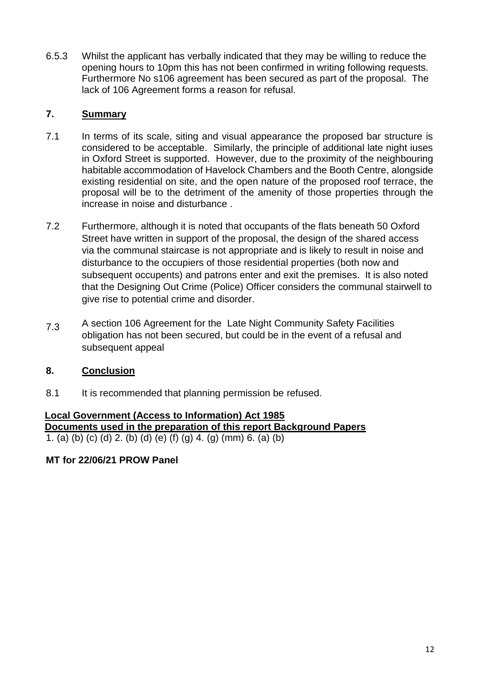6.5.3 Whilst the applicant has verbally indicated that they may be willing to reduce the opening hours to 10pm this has not been confirmed in writing following requests. Furthermore No s106 agreement has been secured as part of the proposal. The lack of 106 Agreement forms a reason for refusal.

# **7. Summary**

- 7.1 In terms of its scale, siting and visual appearance the proposed bar structure is considered to be acceptable. Similarly, the principle of additional late night iuses in Oxford Street is supported. However, due to the proximity of the neighbouring habitable accommodation of Havelock Chambers and the Booth Centre, alongside existing residential on site, and the open nature of the proposed roof terrace, the proposal will be to the detriment of the amenity of those properties through the increase in noise and disturbance .
- 7.2 Furthermore, although it is noted that occupants of the flats beneath 50 Oxford Street have written in support of the proposal, the design of the shared access via the communal staircase is not appropriate and is likely to result in noise and disturbance to the occupiers of those residential properties (both now and subsequent occupents) and patrons enter and exit the premises. It is also noted that the Designing Out Crime (Police) Officer considers the communal stairwell to give rise to potential crime and disorder.
- 7.3 A section 106 Agreement for the Late Night Community Safety Facilities obligation has not been secured, but could be in the event of a refusal and subsequent appeal

# **8. Conclusion**

8.1 It is recommended that planning permission be refused.

# **Local Government (Access to Information) Act 1985**

**Documents used in the preparation of this report Background Papers** 1. (a) (b) (c) (d) 2. (b) (d) (e) (f) (g) 4. (g) (mm) 6. (a) (b)

# **MT for 22/06/21 PROW Panel**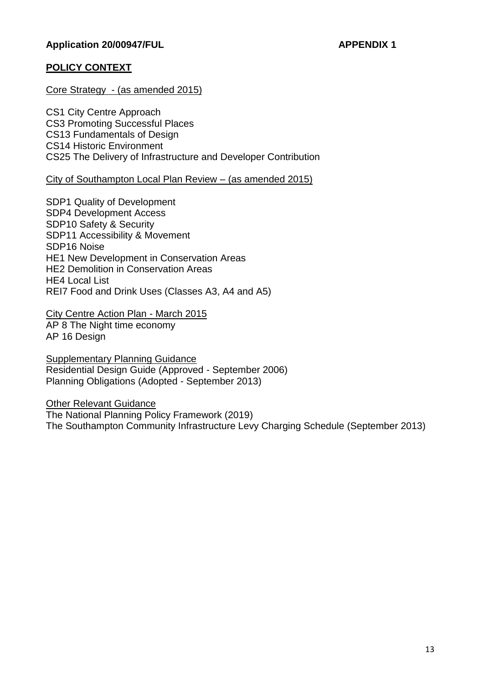# **POLICY CONTEXT**

### Core Strategy - (as amended 2015)

CS1 City Centre Approach CS3 Promoting Successful Places CS13 Fundamentals of Design CS14 Historic Environment CS25 The Delivery of Infrastructure and Developer Contribution

### City of Southampton Local Plan Review – (as amended 2015)

SDP1 Quality of Development SDP4 Development Access SDP10 Safety & Security SDP11 Accessibility & Movement SDP16 Noise HE1 New Development in Conservation Areas HE2 Demolition in Conservation Areas HE4 Local List REI7 Food and Drink Uses (Classes A3, A4 and A5)

City Centre Action Plan - March 2015 AP 8 The Night time economy AP 16 Design

**Supplementary Planning Guidance** Residential Design Guide (Approved - September 2006) Planning Obligations (Adopted - September 2013)

Other Relevant Guidance The National Planning Policy Framework (2019) The Southampton Community Infrastructure Levy Charging Schedule (September 2013)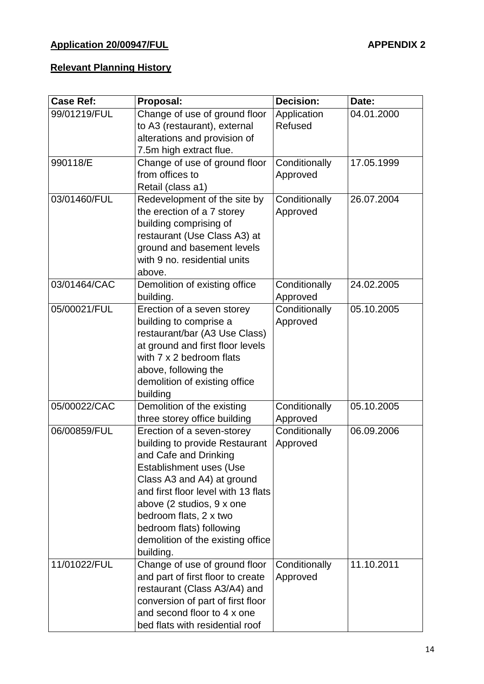# **Application 20/00947/FUL APPENDIX 2**

# **Relevant Planning History**

| Case Ref:    | Proposal:                                  | <b>Decision:</b>          | Date:      |
|--------------|--------------------------------------------|---------------------------|------------|
| 99/01219/FUL | Change of use of ground floor              | Application               | 04.01.2000 |
|              | to A3 (restaurant), external               | Refused                   |            |
|              | alterations and provision of               |                           |            |
|              | 7.5m high extract flue.                    |                           |            |
| 990118/E     | Change of use of ground floor              | Conditionally             | 17.05.1999 |
|              | from offices to                            | Approved                  |            |
|              | Retail (class a1)                          |                           |            |
| 03/01460/FUL | Redevelopment of the site by               | Conditionally             | 26.07.2004 |
|              | the erection of a 7 storey                 | Approved                  |            |
|              | building comprising of                     |                           |            |
|              | restaurant (Use Class A3) at               |                           |            |
|              | ground and basement levels                 |                           |            |
|              | with 9 no. residential units               |                           |            |
| 03/01464/CAC | above.                                     |                           | 24.02.2005 |
|              | Demolition of existing office<br>building. | Conditionally<br>Approved |            |
| 05/00021/FUL | Erection of a seven storey                 | Conditionally             | 05.10.2005 |
|              | building to comprise a                     | Approved                  |            |
|              | restaurant/bar (A3 Use Class)              |                           |            |
|              | at ground and first floor levels           |                           |            |
|              | with 7 x 2 bedroom flats                   |                           |            |
|              | above, following the                       |                           |            |
|              | demolition of existing office              |                           |            |
|              | building                                   |                           |            |
| 05/00022/CAC | Demolition of the existing                 | Conditionally             | 05.10.2005 |
|              | three storey office building               | Approved                  |            |
| 06/00859/FUL | Erection of a seven-storey                 | Conditionally             | 06.09.2006 |
|              | building to provide Restaurant             | Approved                  |            |
|              | and Cafe and Drinking                      |                           |            |
|              | <b>Establishment uses (Use</b>             |                           |            |
|              | Class A3 and A4) at ground                 |                           |            |
|              | and first floor level with 13 flats        |                           |            |
|              | above (2 studios, 9 x one                  |                           |            |
|              | bedroom flats, 2 x two                     |                           |            |
|              | bedroom flats) following                   |                           |            |
|              | demolition of the existing office          |                           |            |
|              | building.                                  |                           |            |
| 11/01022/FUL | Change of use of ground floor              | Conditionally             | 11.10.2011 |
|              | and part of first floor to create          | Approved                  |            |
|              | restaurant (Class A3/A4) and               |                           |            |
|              | conversion of part of first floor          |                           |            |
|              | and second floor to 4 x one                |                           |            |
|              | bed flats with residential roof            |                           |            |